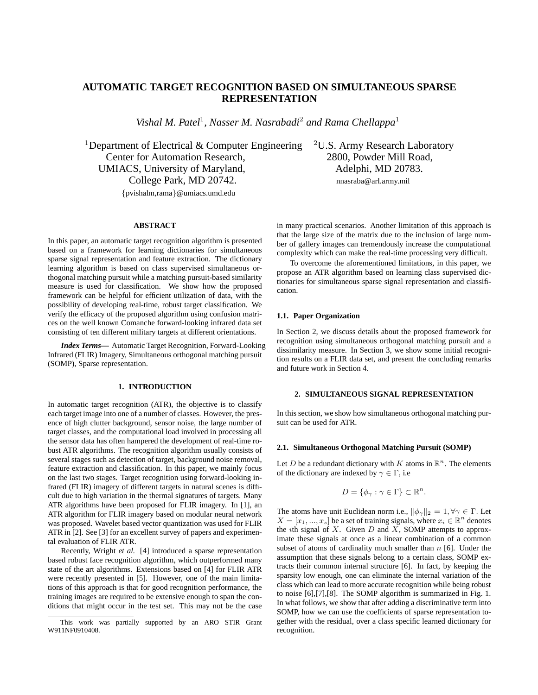# **AUTOMATIC TARGET RECOGNITION BASED ON SIMULTANEOUS SPARSE REPRESENTATION**

Vishal M. Patel<sup>1</sup>, Nasser M. Nasrabadi<sup>2</sup> and Rama Chellappa<sup>1</sup>

<sup>1</sup>Department of Electrical & Computer Engineering <sup>2</sup>U.S. Army Research Laboratory Center for Automation Research, 2800, Powder Mill Road, UMIACS, University of Maryland,  $\blacksquare$  Adelphi, MD 20783. College Park, MD 20742. nnasraba@arl.army.mil

{pvishalm,rama}@umiacs.umd.edu

### **ABSTRACT**

In this paper, an automatic target recognition algorithm is presented based on a framework for learning dictionaries for simultaneous sparse signal representation and feature extraction. The dictionary learning algorithm is based on class supervised simultaneous orthogonal matching pursuit while a matching pursuit-based similarity measure is used for classification. We show how the proposed framework can be helpful for efficient utilization of data, with the possibility of developing real-time, robust target classification. We verify the efficacy of the proposed algorithm using confusion matrices on the well known Comanche forward-looking infrared data set consisting of ten different military targets at different orientations.

*Index Terms***—** Automatic Target Recognition, Forward-Looking Infrared (FLIR) Imagery, Simultaneous orthogonal matching pursuit (SOMP), Sparse representation.

# **1. INTRODUCTION**

In automatic target recognition (ATR), the objective is to classify each target image into one of a number of classes. However, the presence of high clutter background, sensor noise, the large number of target classes, and the computational load involved in processing all the sensor data has often hampered the development of real-time robust ATR algorithms. The recognition algorithm usually consists of several stages such as detection of target, background noise removal, feature extraction and classification. In this paper, we mainly focus on the last two stages. Target recognition using forward-looking infrared (FLIR) imagery of different targets in natural scenes is difficult due to high variation in the thermal signatures of targets. Many ATR algorithms have been proposed for FLIR imagery. In [1], an ATR algorithm for FLIR imagery based on modular neural network was proposed. Wavelet based vector quantization was used for FLIR ATR in [2]. See [3] for an excellent survey of papers and experimental evaluation of FLIR ATR.

Recently, Wright *et al.* [4] introduced a sparse representation based robust face recognition algorithm, which outperformed many state of the art algorithms. Extensions based on [4] for FLIR ATR were recently presented in [5]. However, one of the main limitations of this approach is that for good recognition performance, the training images are required to be extensive enough to span the conditions that might occur in the test set. This may not be the case

in many practical scenarios. Another limitation of this approach is that the large size of the matrix due to the inclusion of large number of gallery images can tremendously increase the computational complexity which can make the real-time processing very difficult.

To overcome the aforementioned limitations, in this paper, we propose an ATR algorithm based on learning class supervised dictionaries for simultaneous sparse signal representation and classification.

### **1.1. Paper Organization**

In Section 2, we discuss details about the proposed framework for recognition using simultaneous orthogonal matching pursuit and a dissimilarity measure. In Section 3, we show some initial recognition results on a FLIR data set, and present the concluding remarks and future work in Section 4.

### **2. SIMULTANEOUS SIGNAL REPRESENTATION**

In this section, we show how simultaneous orthogonal matching pursuit can be used for ATR.

### **2.1. Simultaneous Orthogonal Matching Pursuit (SOMP)**

Let D be a redundant dictionary with K atoms in  $\mathbb{R}^n$ . The elements of the dictionary are indexed by  $\gamma \in \Gamma$ , i.e

$$
D = \{ \phi_{\gamma} : \gamma \in \Gamma \} \subset \mathbb{R}^n.
$$

The atoms have unit Euclidean norm i.e.,  $\|\phi_\gamma\|_2 = 1, \forall \gamma \in \Gamma$ . Let  $X = [x_1, ..., x_s]$  be a set of training signals, where  $x_i \in \mathbb{R}^n$  denotes the *i*th signal of  $X$ . Given  $D$  and  $X$ , SOMP attempts to approximate these signals at once as a linear combination of a common subset of atoms of cardinality much smaller than  $n$  [6]. Under the assumption that these signals belong to a certain class, SOMP extracts their common internal structure [6]. In fact, by keeping the sparsity low enough, one can eliminate the internal variation of the class which can lead to more accurate recognition while being robust to noise [6],[7],[8]. The SOMP algorithm is summarized in Fig. 1. In what follows, we show that after adding a discriminative term into SOMP, how we can use the coefficients of sparse representation together with the residual, over a class specific learned dictionary for recognition.

This work was partially supported by an ARO STIR Grant W911NF0910408.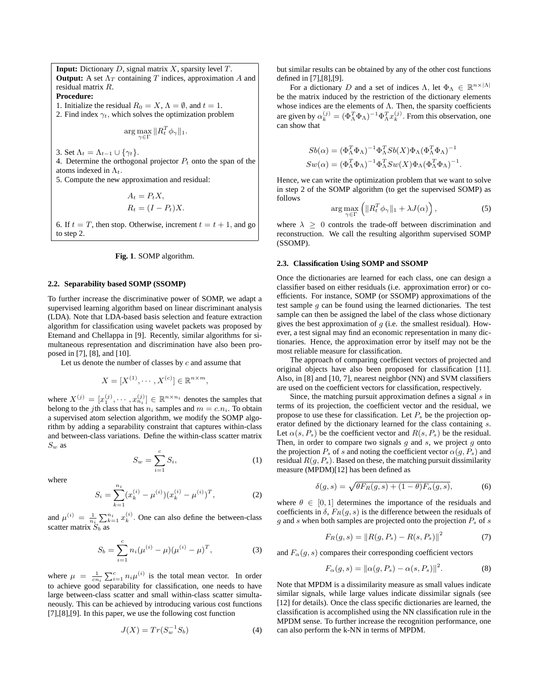**Input:** Dictionary D, signal matrix X, sparsity level T. **Output:** A set  $\Lambda_T$  containing T indices, approximation A and residual matrix R.

# **Procedure:**

1. Initialize the residual  $R_0 = X$ ,  $\Lambda = \emptyset$ , and  $t = 1$ .

2. Find index  $\gamma_t$ , which solves the optimization problem

$$
\arg\max_{\gamma \in \Gamma} \|R_t^T \phi_\gamma\|_1.
$$

3. Set  $\Lambda_t = \Lambda_{t-1} \cup \{\gamma_t\}.$ 

4. Determine the orthogonal projector  $P_t$  onto the span of the atoms indexed in  $\Lambda_t$ .

5. Compute the new approximation and residual:

$$
A_t = P_t X,
$$
  
\n
$$
R_t = (I - P_t)X.
$$

6. If  $t = T$ , then stop. Otherwise, increment  $t = t + 1$ , and go to step 2.

**Fig. 1**. SOMP algorithm.

### **2.2. Separability based SOMP (SSOMP)**

To further increase the discriminative power of SOMP, we adapt a supervised learning algorithm based on linear discriminant analysis (LDA). Note that LDA-based basis selection and feature extraction algorithm for classification using wavelet packets was proposed by Etemand and Chellappa in [9]. Recently, similar algorithms for simultaneous representation and discrimination have also been proposed in [7], [8], and [10].

Let us denote the number of classes by  $c$  and assume that

$$
X = [X^{(1)}, \cdots, X^{(c)}] \in \mathbb{R}^{n \times m},
$$

where  $X^{(j)} = [x_1^{(j)}, \cdots, x_{n_i}^{(j)}] \in \mathbb{R}^{n \times n_i}$  denotes the samples that belong to the jth class that has  $n_i$  samples and  $m = c.n_i$ . To obtain a supervised atom selection algorithm, we modify the SOMP algorithm by adding a separability constraint that captures within-class and between-class variations. Define the within-class scatter matrix  $S_w$  as

$$
S_w = \sum_{i=1}^{c} S_i, \tag{1}
$$

where

$$
S_i = \sum_{k=1}^{n_i} (x_k^{(i)} - \mu^{(i)}) (x_k^{(i)} - \mu^{(i)})^T,
$$
 (2)

and  $\mu^{(i)} = \frac{1}{n_i} \sum_{k=1}^{n_i} x_k^{(i)}$ . One can also define the between-class scatter matrix  $S_b$  as

$$
S_b = \sum_{i=1}^{c} n_i (\mu^{(i)} - \mu) (\mu^{(i)} - \mu)^T,
$$
 (3)

where  $\mu = \frac{1}{cn_i} \sum_{i=1}^{c} n_i \mu^{(i)}$  is the total mean vector. In order to achieve good separability for classification, one needs to have large between-class scatter and small within-class scatter simultaneously. This can be achieved by introducing various cost functions [7],[8],[9]. In this paper, we use the following cost function

$$
J(X) = Tr(S_w^{-1}S_b)
$$
\n<sup>(4)</sup>

but similar results can be obtained by any of the other cost functions defined in [7],[8],[9].

For a dictionary D and a set of indices  $\Lambda$ , let  $\Phi_{\Lambda} \in \mathbb{R}^{n \times |\Lambda|}$ be the matrix induced by the restriction of the dictionary elements whose indices are the elements of  $\Lambda$ . Then, the sparsity coefficients are given by  $\alpha_k^{(j)} = (\Phi_A^T \Phi_A)^{-1} \Phi_A^T x_k^{(j)}$ . From this observation, one can show that

$$
Sb(\alpha) = (\Phi_{\Lambda}^T \Phi_{\Lambda})^{-1} \Phi_{\Lambda}^T Sb(X) \Phi_{\Lambda} (\Phi_{\Lambda}^T \Phi_{\Lambda})^{-1}
$$
  

$$
Sw(\alpha) = (\Phi_{\Lambda}^T \Phi_{\Lambda})^{-1} \Phi_{\Lambda}^T Sw(X) \Phi_{\Lambda} (\Phi_{\Lambda}^T \Phi_{\Lambda})^{-1}.
$$

Hence, we can write the optimization problem that we want to solve in step 2 of the SOMP algorithm (to get the supervised SOMP) as follows

$$
\arg\max_{\gamma \in \Gamma} \left( \|R_t^T \phi_\gamma\|_1 + \lambda J(\alpha) \right),\tag{5}
$$

where  $\lambda > 0$  controls the trade-off between discrimination and reconstruction. We call the resulting algorithm supervised SOMP (SSOMP).

#### **2.3. Classification Using SOMP and SSOMP**

Once the dictionaries are learned for each class, one can design a classifier based on either residuals (i.e. approximation error) or coefficients. For instance, SOMP (or SSOMP) approximations of the test sample  $q$  can be found using the learned dictionaries. The test sample can then be assigned the label of the class whose dictionary gives the best approximation of  $g$  (i.e. the smallest residual). However, a test signal may find an economic representation in many dictionaries. Hence, the approximation error by itself may not be the most reliable measure for classification.

The approach of comparing coefficient vectors of projected and original objects have also been proposed for classification [11]. Also, in [8] and [10, 7], nearest neighbor (NN) and SVM classifiers are used on the coefficient vectors for classification, respectively.

Since, the matching pursuit approximation defines a signal  $s$  in terms of its projection, the coefficient vector and the residual, we propose to use these for classification. Let  $P_s$  be the projection operator defined by the dictionary learned for the class containing s. Let  $\alpha(s, P_s)$  be the coefficient vector and  $R(s, P_s)$  be the residual. Then, in order to compare two signals q and s, we project q onto the projection  $P_s$  of s and noting the coefficient vector  $\alpha(q, P_s)$  and residual  $R(q, P_s)$ . Based on these, the matching pursuit dissimilarity measure (MPDM)[12] has been defined as

$$
\delta(g,s) = \sqrt{\theta F_R(g,s) + (1-\theta) F_\alpha(g,s)},\tag{6}
$$

where  $\theta \in [0, 1]$  determines the importance of the residuals and coefficients in  $\delta$ ,  $F_R(g, s)$  is the difference between the residuals of  $g$  and s when both samples are projected onto the projection  $P_s$  of s

$$
F_R(g, s) = ||R(g, P_s) - R(s, P_s)||^2
$$
\n(7)

and  $F_{\alpha}(g, s)$  compares their corresponding coefficient vectors

$$
F_{\alpha}(g, s) = ||\alpha(g, P_s) - \alpha(s, P_s)||^2.
$$
 (8)

Note that MPDM is a dissimilarity measure as small values indicate similar signals, while large values indicate dissimilar signals (see [12] for details). Once the class specific dictionaries are learned, the classification is accomplished using the NN classification rule in the MPDM sense. To further increase the recognition performance, one can also perform the k-NN in terms of MPDM.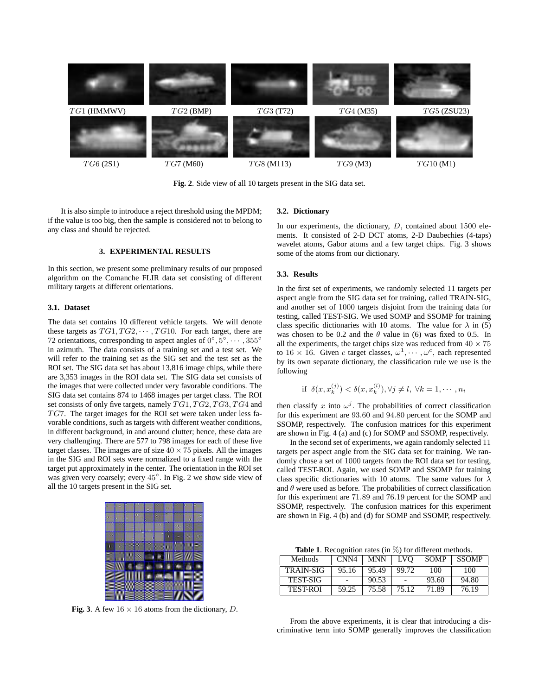

**Fig. 2**. Side view of all 10 targets present in the SIG data set.

It is also simple to introduce a reject threshold using the MPDM; if the value is too big, then the sample is considered not to belong to any class and should be rejected.

# **3. EXPERIMENTAL RESULTS**

In this section, we present some preliminary results of our proposed algorithm on the Comanche FLIR data set consisting of different military targets at different orientations.

# **3.1. Dataset**

The data set contains 10 different vehicle targets. We will denote these targets as  $TG1, TG2, \cdots, TG10$ . For each target, there are 72 orientations, corresponding to aspect angles of  $0^{\circ}, 5^{\circ}, \cdots, 355^{\circ}$ in azimuth. The data consists of a training set and a test set. We will refer to the training set as the SIG set and the test set as the ROI set. The SIG data set has about 13,816 image chips, while there are 3,353 images in the ROI data set. The SIG data set consists of the images that were collected under very favorable conditions. The SIG data set contains 874 to 1468 images per target class. The ROI set consists of only five targets, namely  $TG1, TG2, TG3, TG4$  and  $TGT$ . The target images for the ROI set were taken under less favorable conditions, such as targets with different weather conditions, in different background, in and around clutter; hence, these data are very challenging. There are 577 to 798 images for each of these five target classes. The images are of size  $40 \times 75$  pixels. All the images in the SIG and ROI sets were normalized to a fixed range with the target put approximately in the center. The orientation in the ROI set was given very coarsely; every 45°. In Fig. 2 we show side view of all the 10 targets present in the SIG set.



**Fig. 3**. A few  $16 \times 16$  atoms from the dictionary, D.

# **3.2. Dictionary**

In our experiments, the dictionary,  $D$ , contained about 1500 elements. It consisted of 2-D DCT atoms, 2-D Daubechies (4-taps) wavelet atoms, Gabor atoms and a few target chips. Fig. 3 shows some of the atoms from our dictionary.

### **3.3. Results**

In the first set of experiments, we randomly selected 11 targets per aspect angle from the SIG data set for training, called TRAIN-SIG, and another set of 1000 targets disjoint from the training data for testing, called TEST-SIG. We used SOMP and SSOMP for training class specific dictionaries with 10 atoms. The value for  $\lambda$  in (5) was chosen to be 0.2 and the  $\theta$  value in (6) was fixed to 0.5. In all the experiments, the target chips size was reduced from  $40 \times 75$ to  $16 \times 16$ . Given c target classes,  $\omega^1, \cdots, \omega^c$ , each represented by its own separate dictionary, the classification rule we use is the following

if 
$$
\delta(x, x_k^{(j)}) < \delta(x, x_k^{(l)})
$$
,  $\forall j \neq l$ ,  $\forall k = 1, \dots, n_i$ 

then classify x into  $\omega^j$ . The probabilities of correct classification for this experiment are 93.60 and 94.80 percent for the SOMP and SSOMP, respectively. The confusion matrices for this experiment are shown in Fig. 4 (a) and (c) for SOMP and SSOMP, respectively.

In the second set of experiments, we again randomly selected 11 targets per aspect angle from the SIG data set for training. We randomly chose a set of 1000 targets from the ROI data set for testing, called TEST-ROI. Again, we used SOMP and SSOMP for training class specific dictionaries with 10 atoms. The same values for  $\lambda$ and  $\theta$  were used as before. The probabilities of correct classification for this experiment are 71.89 and 76.19 percent for the SOMP and SSOMP, respectively. The confusion matrices for this experiment are shown in Fig. 4 (b) and (d) for SOMP and SSOMP, respectively.

**Table 1**. Recognition rates (in %) for different methods.

| Methods          | CNN <sub>4</sub> | MNN   | LVO   | <b>SOMP</b> | <b>SSOMP</b> |
|------------------|------------------|-------|-------|-------------|--------------|
| <b>TRAIN-SIG</b> | 95.16            | 95.49 | 99.72 | 100         | 100          |
| <b>TEST-SIG</b>  |                  | 90.53 |       | 93.60       | 94.80        |
| <b>TEST-ROI</b>  | 59.25            | 75.58 | 75.12 | 71.89       | 76.19        |

From the above experiments, it is clear that introducing a discriminative term into SOMP generally improves the classification